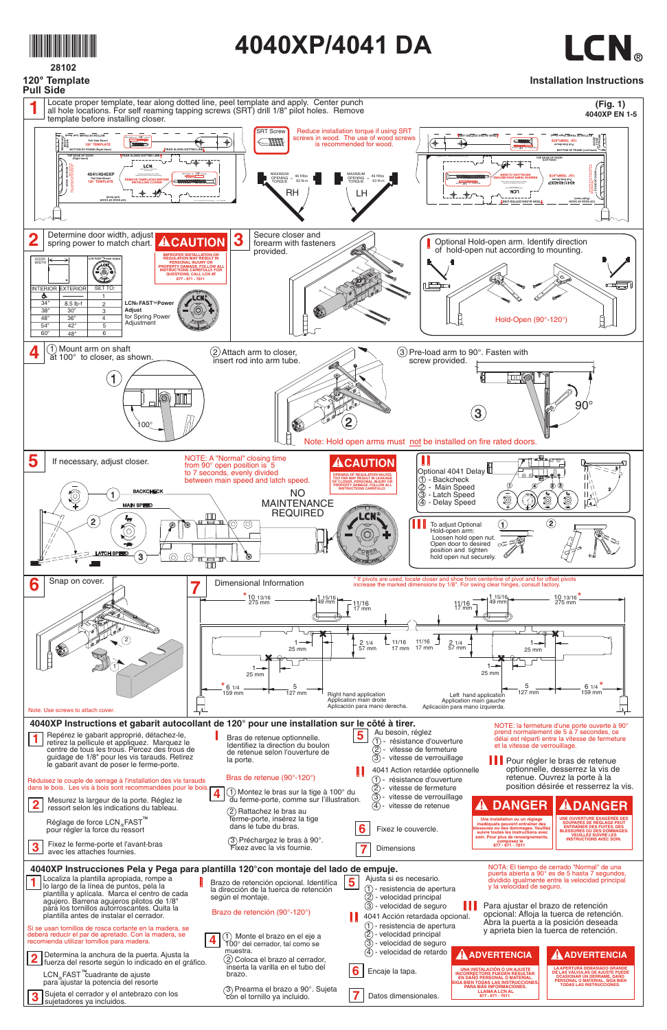

**28102 120° Template**

## **4040XP/4041 DA**



## **Installation Instructions**



| guidage de 1/8" pour les vis tarauds. Retirez<br>le gabarit avant de poser le ferme-porte.<br>Réduisez le couple de serrage à l'installation des vis tarauds<br>dans le bois. Les vis à bois sont recommandées pour le bois.<br>Mesurez la largeur de la porte. Réglez le<br>$\overline{\mathbf{2}}$<br>ressort selon les indications du tableau.<br>Réglage de force LCN <sub>®</sub> FAST <sup>™</sup><br>pour régler la force du ressort<br>Fixez le ferme-porte et l'avant-bras<br>$\overline{\mathbf{3}}$<br>avec les attaches fournies.                                                                                                                                                                                                                                                                 | ao Toloniao oolon'i oavorlaro<br>la porte.<br>Bras de retenue (90°-120°)<br>$\overline{\mathbf{4}}$<br>$(1)$ Montez le bras sur la tige à 100° du<br>du ferme-porte, comme sur l'illustration.<br>(2) Rattachez le bras au<br>ferme-porte, insérez la tige<br>dans le tube du bras.<br>$(3)$ Préchargez le bras à 90°.<br>Fixez avec la vis fournie.                        | $\circled{3}$<br>vitesse de verrouillage<br>4041 Action retardée optionnelle<br>résistance d'ouverture<br>$(1) -$<br>2 - vitesse de fermeture<br>3 - vitesse de verrouillage<br>vitesse de retenue<br>(4)<br>6<br>Fixez le couvercle.<br>Dimensions                                                                                                                                                                         | Pour régler le bras de retenue<br>optionnelle, desserrez la vis de<br>retenue. Ouvrez la porte à la<br>position désirée et resserrez la vis.<br><b>DANGER</b><br><b>ADANGER</b><br>$\mathbf{A}$<br>UNE OUVERTURE EXAGÉRÉE DES<br>Une installation ou un réglage<br>SOUPAPES DE RÉGLAGE PEUT<br>inadéquats peuvent entraîner des<br>lessures ou des dommages. Veuillez<br><b>ENTRAÎNER DES FUITES, DES</b><br><b>BLESSURES OU DES DOMMAGES</b><br>suivre toutes les instructions avec<br><b>VEUILLEZ SUIVRE LES</b><br>soin. Pour plus de renseignements,<br><b>INSTRUCTIONS AVEC SOIN.</b><br>composez le<br>877 - 671 - 7011                                                                                                                                                                                                 |
|---------------------------------------------------------------------------------------------------------------------------------------------------------------------------------------------------------------------------------------------------------------------------------------------------------------------------------------------------------------------------------------------------------------------------------------------------------------------------------------------------------------------------------------------------------------------------------------------------------------------------------------------------------------------------------------------------------------------------------------------------------------------------------------------------------------|-----------------------------------------------------------------------------------------------------------------------------------------------------------------------------------------------------------------------------------------------------------------------------------------------------------------------------------------------------------------------------|-----------------------------------------------------------------------------------------------------------------------------------------------------------------------------------------------------------------------------------------------------------------------------------------------------------------------------------------------------------------------------------------------------------------------------|-------------------------------------------------------------------------------------------------------------------------------------------------------------------------------------------------------------------------------------------------------------------------------------------------------------------------------------------------------------------------------------------------------------------------------------------------------------------------------------------------------------------------------------------------------------------------------------------------------------------------------------------------------------------------------------------------------------------------------------------------------------------------------------------------------------------------------|
| 4040XP Instrucciones Pela y Pega para plantilla 120°con montaje del lado de empuje.<br>Localiza la plantilla apropiada, rompe a<br>lo largo de la línea de puntos, pela la<br>plantilla y aplícala. Marca el centro de cada<br>agujero. Barrena agujeros pilotos de 1/8"<br>para los tornillos autorroscantes. Quita la<br>plantilla antes de instalar el cerrador.<br>Si se usan tornillos de rosca cortante en la madera, se<br>deberá reducir el par de apretado. Con la madera, se<br>recomienda utilizar tornillos para madera.<br>Determina la anchura de la puerta. Ajusta la<br>fuerza del resorte según lo indicado en el gráfico.<br>LCN FAST™cuadrante de ajuste<br>para ajustar la potencia del resorte<br>Sujeta el cerrador y el antebrazo con los<br>$\mathbf{3}$<br>sujetadores ya incluidos. | Brazo de retención opcional. Identifíca<br>la dirección de la tuerca de retención<br>según el montaje.<br>Brazo de retención (90°-120°)<br>Monte el brazo en el eje a<br>100° del cerrador, tal como se<br>muestra.<br>(2) Coloca el brazo al cerrador,<br>inserta la varilla en el tubo del<br>brazo.<br>3) Prearma el brazo a 90°. Sujeta<br>con el tornillo ya incluido. | Ajusta si es necesario.<br>$\overline{\mathbf{5}}$<br>$(1)$ - resistencia de apertura<br>(2) - velocidad principal<br>3) - velocidad de seguro<br>Ш<br>4041 Acción retardada opcional.<br>- resistencia de apertura<br>- velocidad principal<br>$\left( 2\right)$<br>$\left( 3\right)$<br>- velocidad de seguro<br>- velocidad de retardo<br>(4)<br>6<br>Encaje la tapa.<br>$\overline{\mathbf{7}}$<br>Datos dimensionales. | NOTA: El tiempo de cerrado "Normal" de una<br>puerta abierta a 90° es de 5 hasta 7 segundos,<br>dividido igualmente entre la velocidad principal<br>y la velocidad de seguro.<br>Para ajustar el brazo de retención<br>opcional: Afloja la tuerca de retención.<br>Abra la puerta a la posición deseada<br>y aprieta bien la tuerca de retención.<br><b>A ADVERTENCIA</b><br><b>A ADVERTENCIA</b><br><b>UNA INSTALACIÓN O UN AJUSTE</b><br><b>LA APERTURA DEMASIADO GRANDE</b><br><b>DE LAS VÁLVULAS DE AJUSTE PUEDE</b><br><b>INCORRECTORS PUEDEN RESULTAR</b><br><b>OCASIONAR UN DERRAME, DAÑO</b><br>EN DAÑO PERSONAL O MATERIAL.<br>PERSONAL O MATERIAL. SIGA BIEN<br><b>IIGA BIEN TODAS LAS INSTRUCCIONES</b><br><b>TODAS LAS INSTRUCCIONES.</b><br>PARA MÁS INFORMACIONES,<br><b>LLAMA A LCN AL</b><br>877 - 671 - 7011 |